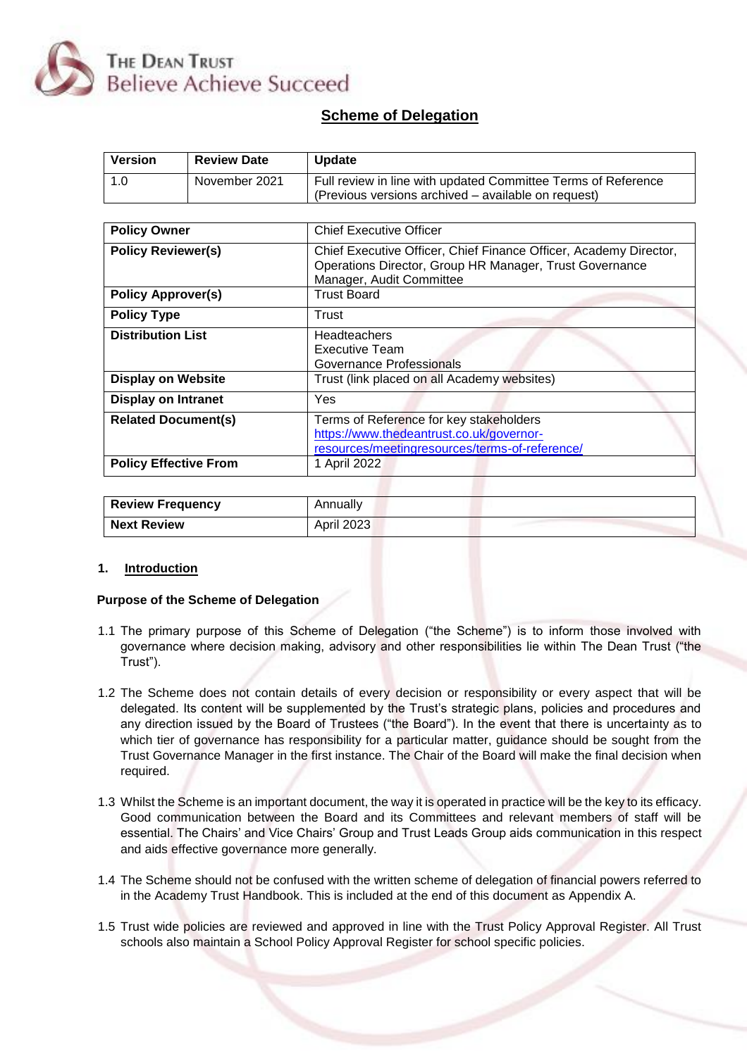

## **Scheme of Delegation**

| <b>Version</b>               | <b>Review Date</b> | <b>Update</b>                                                                                                                                            |  |  |  |  |  |
|------------------------------|--------------------|----------------------------------------------------------------------------------------------------------------------------------------------------------|--|--|--|--|--|
| 1.0                          | November 2021      | Full review in line with updated Committee Terms of Reference<br>(Previous versions archived - available on request)                                     |  |  |  |  |  |
|                              |                    |                                                                                                                                                          |  |  |  |  |  |
| <b>Policy Owner</b>          |                    | <b>Chief Executive Officer</b>                                                                                                                           |  |  |  |  |  |
| <b>Policy Reviewer(s)</b>    |                    | Chief Executive Officer, Chief Finance Officer, Academy Director,<br>Operations Director, Group HR Manager, Trust Governance<br>Manager, Audit Committee |  |  |  |  |  |
| <b>Policy Approver(s)</b>    |                    | <b>Trust Board</b>                                                                                                                                       |  |  |  |  |  |
| <b>Policy Type</b>           |                    | Trust                                                                                                                                                    |  |  |  |  |  |
| <b>Distribution List</b>     |                    | <b>Headteachers</b><br><b>Executive Team</b><br>Governance Professionals                                                                                 |  |  |  |  |  |
| <b>Display on Website</b>    |                    | Trust (link placed on all Academy websites)                                                                                                              |  |  |  |  |  |
| <b>Display on Intranet</b>   |                    | Yes                                                                                                                                                      |  |  |  |  |  |
| <b>Related Document(s)</b>   |                    | Terms of Reference for key stakeholders<br>https://www.thedeantrust.co.uk/governor-<br>resources/meetingresources/terms-of-reference/                    |  |  |  |  |  |
| <b>Policy Effective From</b> |                    | 1 April 2022                                                                                                                                             |  |  |  |  |  |

| <b>Review Frequency</b> | Annuallv          |
|-------------------------|-------------------|
| <b>Next Review</b>      | <b>April 2023</b> |

#### **1. Introduction**

#### **Purpose of the Scheme of Delegation**

- 1.1 The primary purpose of this Scheme of Delegation ("the Scheme") is to inform those involved with governance where decision making, advisory and other responsibilities lie within The Dean Trust ("the Trust").
- 1.2 The Scheme does not contain details of every decision or responsibility or every aspect that will be delegated. Its content will be supplemented by the Trust's strategic plans, policies and procedures and any direction issued by the Board of Trustees ("the Board"). In the event that there is uncertainty as to which tier of governance has responsibility for a particular matter, guidance should be sought from the Trust Governance Manager in the first instance. The Chair of the Board will make the final decision when required.
- 1.3 Whilst the Scheme is an important document, the way it is operated in practice will be the key to its efficacy. Good communication between the Board and its Committees and relevant members of staff will be essential. The Chairs' and Vice Chairs' Group and Trust Leads Group aids communication in this respect and aids effective governance more generally.
- 1.4 The Scheme should not be confused with the written scheme of delegation of financial powers referred to in the Academy Trust Handbook. This is included at the end of this document as Appendix A.
- 1.5 Trust wide policies are reviewed and approved in line with the Trust Policy Approval Register. All Trust schools also maintain a School Policy Approval Register for school specific policies.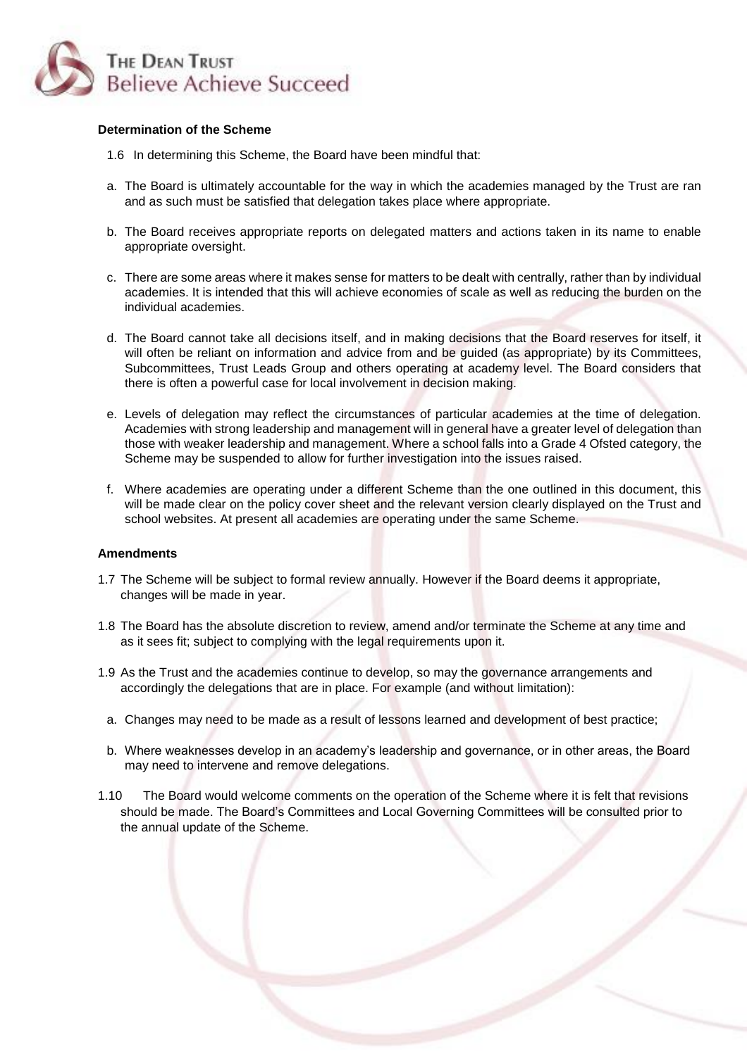

#### **Determination of the Scheme**

- 1.6 In determining this Scheme, the Board have been mindful that:
- a. The Board is ultimately accountable for the way in which the academies managed by the Trust are ran and as such must be satisfied that delegation takes place where appropriate.
- b. The Board receives appropriate reports on delegated matters and actions taken in its name to enable appropriate oversight.
- c. There are some areas where it makes sense for matters to be dealt with centrally, rather than by individual academies. It is intended that this will achieve economies of scale as well as reducing the burden on the individual academies.
- d. The Board cannot take all decisions itself, and in making decisions that the Board reserves for itself, it will often be reliant on information and advice from and be guided (as appropriate) by its Committees, Subcommittees, Trust Leads Group and others operating at academy level. The Board considers that there is often a powerful case for local involvement in decision making.
- e. Levels of delegation may reflect the circumstances of particular academies at the time of delegation. Academies with strong leadership and management will in general have a greater level of delegation than those with weaker leadership and management. Where a school falls into a Grade 4 Ofsted category, the Scheme may be suspended to allow for further investigation into the issues raised.
- f. Where academies are operating under a different Scheme than the one outlined in this document, this will be made clear on the policy cover sheet and the relevant version clearly displayed on the Trust and school websites. At present all academies are operating under the same Scheme.

#### **Amendments**

- 1.7 The Scheme will be subject to formal review annually. However if the Board deems it appropriate, changes will be made in year.
- 1.8 The Board has the absolute discretion to review, amend and/or terminate the Scheme at any time and as it sees fit; subject to complying with the legal requirements upon it.
- 1.9 As the Trust and the academies continue to develop, so may the governance arrangements and accordingly the delegations that are in place. For example (and without limitation):
- a. Changes may need to be made as a result of lessons learned and development of best practice;
- b. Where weaknesses develop in an academy's leadership and governance, or in other areas, the Board may need to intervene and remove delegations.
- 1.10 The Board would welcome comments on the operation of the Scheme where it is felt that revisions should be made. The Board's Committees and Local Governing Committees will be consulted prior to the annual update of the Scheme.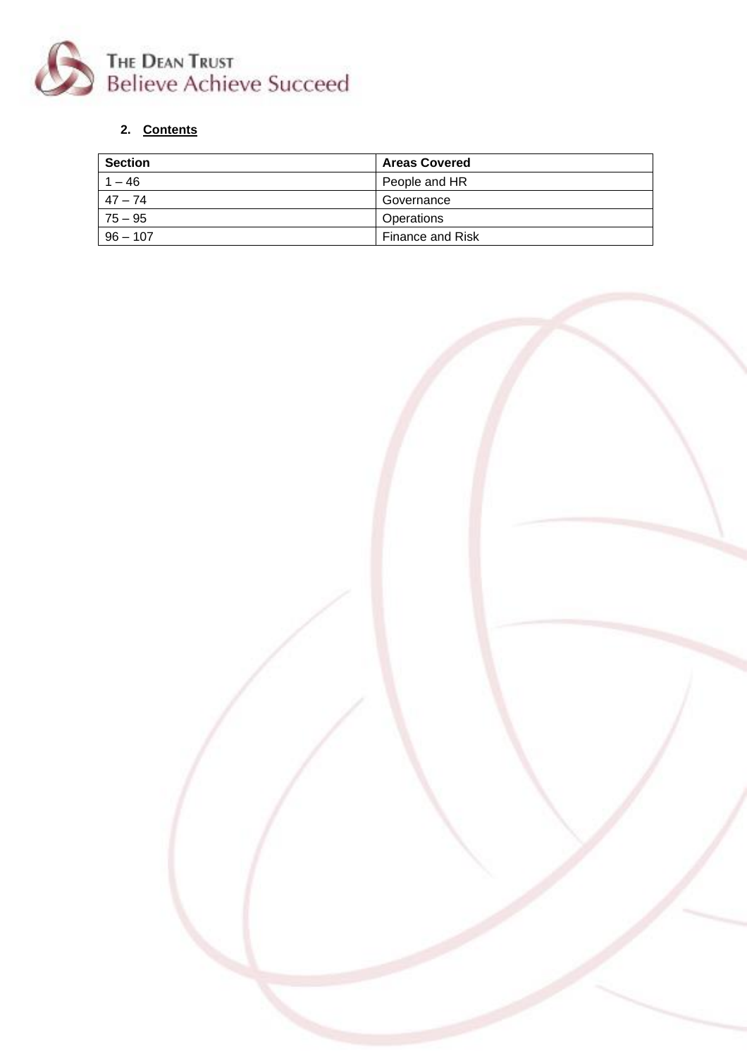

# **2. Contents**

| <b>Section</b> | <b>Areas Covered</b>    |
|----------------|-------------------------|
| $1 - 46$       | People and HR           |
| 47 – 74        | Governance              |
| $75 - 95$      | Operations              |
| $96 - 107$     | <b>Finance and Risk</b> |

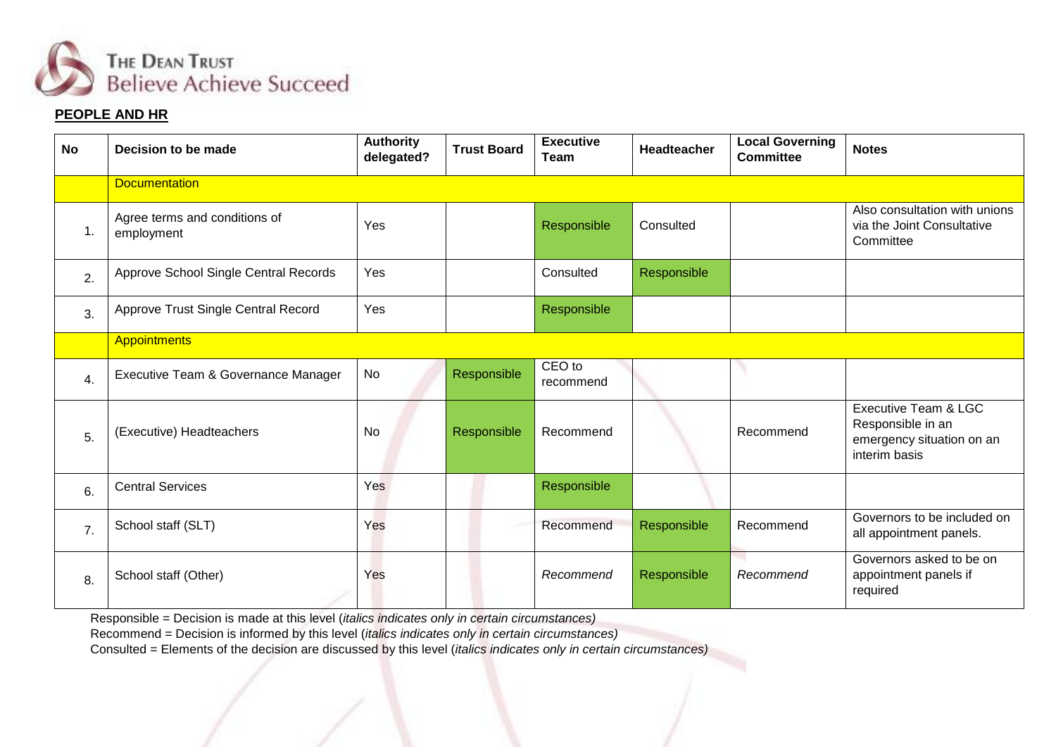

#### **PEOPLE AND HR**

| <b>No</b>        | Decision to be made                         | <b>Authority</b><br>delegated? | <b>Trust Board</b> | <b>Executive</b><br>Team | <b>Headteacher</b> | <b>Local Governing</b><br><b>Committee</b> | <b>Notes</b>                                                                            |  |  |
|------------------|---------------------------------------------|--------------------------------|--------------------|--------------------------|--------------------|--------------------------------------------|-----------------------------------------------------------------------------------------|--|--|
|                  | <b>Documentation</b>                        |                                |                    |                          |                    |                                            |                                                                                         |  |  |
| $\mathbf 1$ .    | Agree terms and conditions of<br>employment | Yes                            |                    | Responsible              | Consulted          |                                            | Also consultation with unions<br>via the Joint Consultative<br>Committee                |  |  |
| 2.               | Approve School Single Central Records       | Yes                            |                    | Consulted                | Responsible        |                                            |                                                                                         |  |  |
| 3.               | Approve Trust Single Central Record         | Yes                            |                    | Responsible              |                    |                                            |                                                                                         |  |  |
|                  | <b>Appointments</b>                         |                                |                    |                          |                    |                                            |                                                                                         |  |  |
| $\overline{4}$ . | Executive Team & Governance Manager         | No                             | Responsible        | CEO to<br>recommend      |                    |                                            |                                                                                         |  |  |
| 5.               | (Executive) Headteachers                    | <b>No</b>                      | Responsible        | Recommend                |                    | Recommend                                  | Executive Team & LGC<br>Responsible in an<br>emergency situation on an<br>interim basis |  |  |
| 6.               | <b>Central Services</b>                     | Yes                            |                    | Responsible              |                    |                                            |                                                                                         |  |  |
| $\overline{7}$ . | School staff (SLT)                          | Yes                            |                    | Recommend                | Responsible        | Recommend                                  | Governors to be included on<br>all appointment panels.                                  |  |  |
| 8.               | School staff (Other)                        | Yes                            |                    | Recommend                | Responsible        | Recommend                                  | Governors asked to be on<br>appointment panels if<br>required                           |  |  |

Responsible = Decision is made at this level (*italics indicates only in certain circumstances)*

Recommend = Decision is informed by this level (*italics indicates only in certain circumstances)*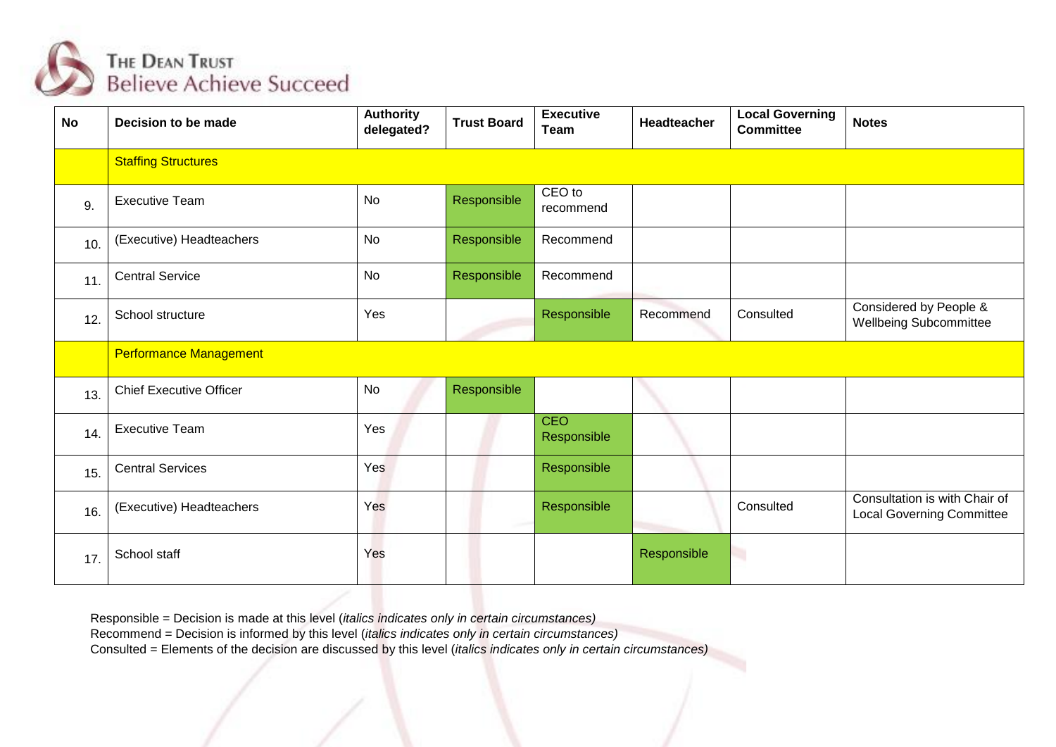

| <b>No</b> | Decision to be made            | <b>Authority</b><br>delegated? | <b>Trust Board</b> | <b>Executive</b><br><b>Team</b> | Headteacher | <b>Local Governing</b><br><b>Committee</b> | <b>Notes</b>                                                      |
|-----------|--------------------------------|--------------------------------|--------------------|---------------------------------|-------------|--------------------------------------------|-------------------------------------------------------------------|
|           | <b>Staffing Structures</b>     |                                |                    |                                 |             |                                            |                                                                   |
| 9.        | <b>Executive Team</b>          | <b>No</b>                      | Responsible        | CEO to<br>recommend             |             |                                            |                                                                   |
| 10.       | (Executive) Headteachers       | No                             | Responsible        | Recommend                       |             |                                            |                                                                   |
| 11.       | <b>Central Service</b>         | <b>No</b>                      | Responsible        | Recommend                       |             |                                            |                                                                   |
| 12.       | School structure               | Yes                            |                    | Responsible                     | Recommend   | Consulted                                  | Considered by People &<br><b>Wellbeing Subcommittee</b>           |
|           | <b>Performance Management</b>  |                                |                    |                                 |             |                                            |                                                                   |
| 13.       | <b>Chief Executive Officer</b> | <b>No</b>                      | Responsible        |                                 |             |                                            |                                                                   |
| 14.       | <b>Executive Team</b>          | Yes                            |                    | <b>CEO</b><br>Responsible       |             |                                            |                                                                   |
| 15.       | <b>Central Services</b>        | Yes                            |                    | Responsible                     |             |                                            |                                                                   |
| 16.       | (Executive) Headteachers       | Yes                            |                    | Responsible                     |             | Consulted                                  | Consultation is with Chair of<br><b>Local Governing Committee</b> |
| 17.       | School staff                   | Yes                            |                    |                                 | Responsible | ۹                                          |                                                                   |

Recommend = Decision is informed by this level (*italics indicates only in certain circumstances)*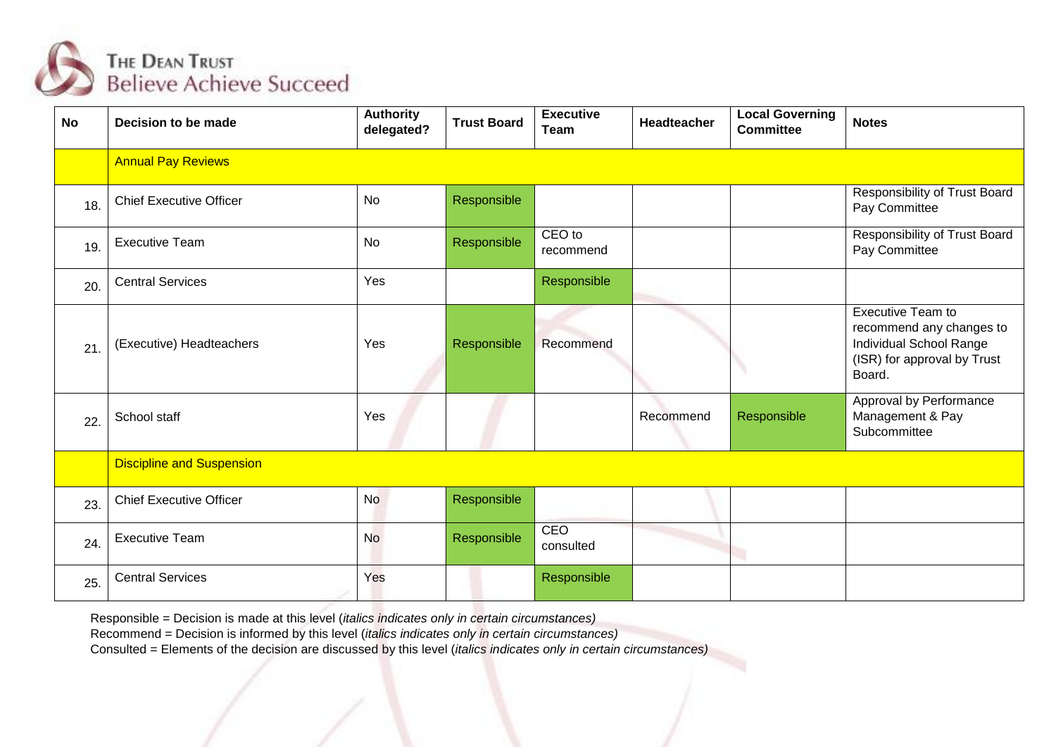

| <b>No</b> | Decision to be made              | <b>Authority</b><br>delegated? | <b>Trust Board</b> | <b>Executive</b><br>Team | <b>Headteacher</b> | <b>Local Governing</b><br><b>Committee</b> | <b>Notes</b>                                                                                                      |
|-----------|----------------------------------|--------------------------------|--------------------|--------------------------|--------------------|--------------------------------------------|-------------------------------------------------------------------------------------------------------------------|
|           | <b>Annual Pay Reviews</b>        |                                |                    |                          |                    |                                            |                                                                                                                   |
| 18.       | <b>Chief Executive Officer</b>   | <b>No</b>                      | Responsible        |                          |                    |                                            | Responsibility of Trust Board<br>Pay Committee                                                                    |
| 19.       | <b>Executive Team</b>            | <b>No</b>                      | Responsible        | CEO to<br>recommend      |                    |                                            | Responsibility of Trust Board<br>Pay Committee                                                                    |
| 20.       | <b>Central Services</b>          | Yes                            |                    | Responsible              |                    |                                            |                                                                                                                   |
| 21        | (Executive) Headteachers         | Yes                            | Responsible        | Recommend                |                    |                                            | Executive Team to<br>recommend any changes to<br>Individual School Range<br>(ISR) for approval by Trust<br>Board. |
| 22        | School staff                     | Yes                            |                    |                          | Recommend          | Responsible                                | Approval by Performance<br>Management & Pay<br>Subcommittee                                                       |
|           | <b>Discipline and Suspension</b> |                                |                    |                          |                    |                                            |                                                                                                                   |
| 23.       | <b>Chief Executive Officer</b>   | <b>No</b>                      | Responsible        |                          |                    |                                            |                                                                                                                   |
| 24.       | <b>Executive Team</b>            | <b>No</b>                      | Responsible        | CEO<br>consulted         |                    |                                            |                                                                                                                   |
| 25.       | <b>Central Services</b>          | Yes                            |                    | Responsible              |                    |                                            |                                                                                                                   |

Recommend = Decision is informed by this level (*italics indicates only in certain circumstances)*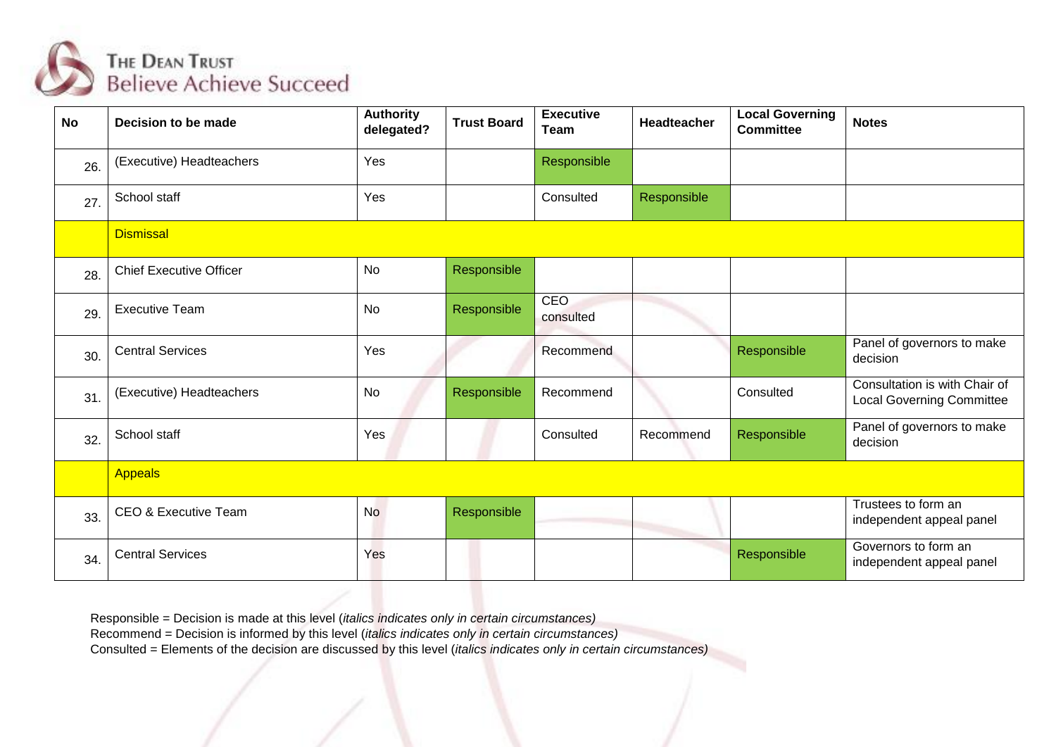

| <b>No</b> | Decision to be made            | <b>Authority</b><br>delegated? | <b>Trust Board</b> | <b>Executive</b><br>Team | <b>Headteacher</b> | <b>Local Governing</b><br><b>Committee</b> | <b>Notes</b>                                                      |
|-----------|--------------------------------|--------------------------------|--------------------|--------------------------|--------------------|--------------------------------------------|-------------------------------------------------------------------|
| 26.       | (Executive) Headteachers       | Yes                            |                    | Responsible              |                    |                                            |                                                                   |
| 27        | School staff                   | Yes                            |                    | Consulted                | Responsible        |                                            |                                                                   |
|           | <b>Dismissal</b>               |                                |                    |                          |                    |                                            |                                                                   |
| 28.       | <b>Chief Executive Officer</b> | <b>No</b>                      | Responsible        |                          |                    |                                            |                                                                   |
| 29.       | <b>Executive Team</b>          | No                             | Responsible        | <b>CEO</b><br>consulted  |                    |                                            |                                                                   |
| 30.       | <b>Central Services</b>        | Yes                            |                    | Recommend                |                    | Responsible                                | Panel of governors to make<br>decision                            |
| 31        | (Executive) Headteachers       | No                             | Responsible        | Recommend                |                    | Consulted                                  | Consultation is with Chair of<br><b>Local Governing Committee</b> |
| 32.       | School staff                   | Yes                            |                    | Consulted                | Recommend          | Responsible                                | Panel of governors to make<br>decision                            |
|           | <b>Appeals</b>                 |                                |                    |                          |                    |                                            |                                                                   |
| 33.       | CEO & Executive Team           | <b>No</b>                      | Responsible        |                          |                    |                                            | Trustees to form an<br>independent appeal panel                   |
| 34.       | <b>Central Services</b>        | Yes                            |                    |                          |                    | Responsible                                | Governors to form an<br>independent appeal panel                  |

Recommend = Decision is informed by this level (*italics indicates only in certain circumstances)*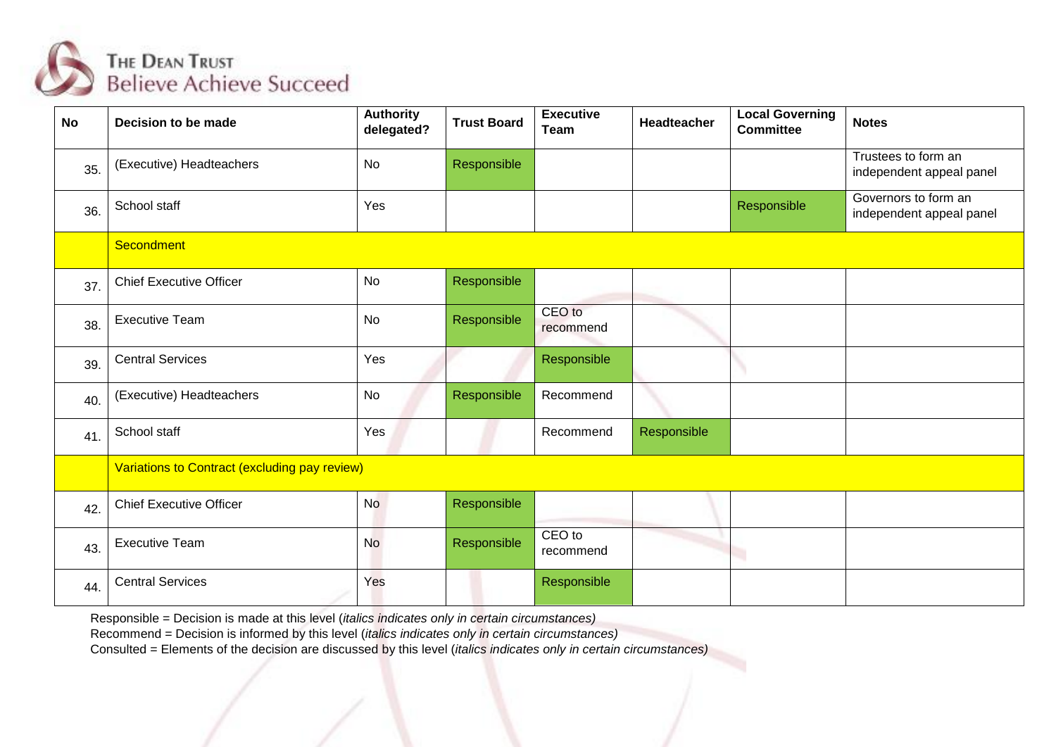

| <b>No</b> | Decision to be made                           | <b>Authority</b><br>delegated? | <b>Trust Board</b> | <b>Executive</b><br>Team | <b>Headteacher</b> | <b>Local Governing</b><br><b>Committee</b> | <b>Notes</b>                                     |  |  |  |
|-----------|-----------------------------------------------|--------------------------------|--------------------|--------------------------|--------------------|--------------------------------------------|--------------------------------------------------|--|--|--|
| 35.       | (Executive) Headteachers                      | <b>No</b>                      | Responsible        |                          |                    |                                            | Trustees to form an<br>independent appeal panel  |  |  |  |
| 36.       | School staff                                  | Yes                            |                    |                          |                    | Responsible                                | Governors to form an<br>independent appeal panel |  |  |  |
|           | Secondment                                    |                                |                    |                          |                    |                                            |                                                  |  |  |  |
| 37.       | <b>Chief Executive Officer</b>                | <b>No</b>                      | Responsible        |                          |                    |                                            |                                                  |  |  |  |
| 38.       | <b>Executive Team</b>                         | <b>No</b>                      | Responsible        | CEO to<br>recommend      |                    |                                            |                                                  |  |  |  |
| 39.       | <b>Central Services</b>                       | Yes                            |                    | Responsible              |                    |                                            |                                                  |  |  |  |
| 40.       | (Executive) Headteachers                      | <b>No</b>                      | Responsible        | Recommend                |                    |                                            |                                                  |  |  |  |
| 41.       | School staff                                  | Yes                            |                    | Recommend                | Responsible        |                                            |                                                  |  |  |  |
|           | Variations to Contract (excluding pay review) |                                |                    |                          |                    |                                            |                                                  |  |  |  |
| 42.       | <b>Chief Executive Officer</b>                | <b>No</b>                      | Responsible        |                          |                    |                                            |                                                  |  |  |  |
| 43.       | <b>Executive Team</b>                         | No                             | Responsible        | CEO to<br>recommend      |                    | ٦                                          |                                                  |  |  |  |
| 44.       | <b>Central Services</b>                       | Yes                            |                    | Responsible              |                    |                                            |                                                  |  |  |  |

Recommend = Decision is informed by this level (*italics indicates only in certain circumstances)*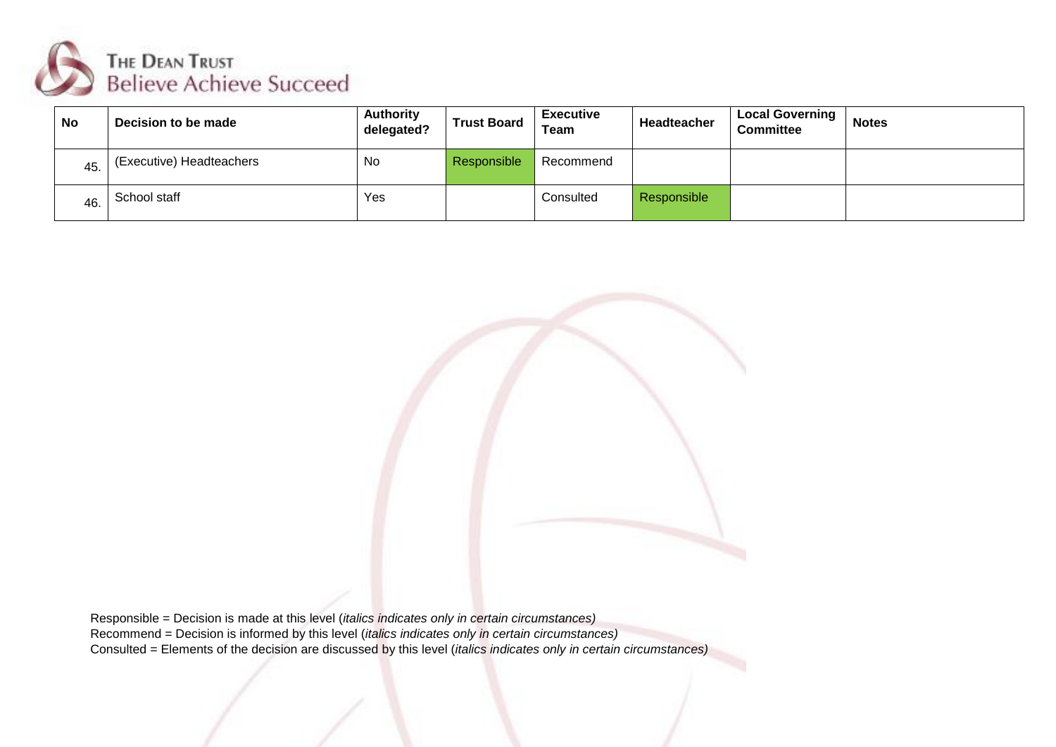

| No  | Decision to be made      | <b>Authority</b><br>delegated? | <b>Trust Board</b> | <b>Executive</b><br>Team | <b>Headteacher</b> | <b>Local Governing</b><br><b>Committee</b> | <b>Notes</b> |
|-----|--------------------------|--------------------------------|--------------------|--------------------------|--------------------|--------------------------------------------|--------------|
| 45. | (Executive) Headteachers | No                             | Responsible        | Recommend                |                    |                                            |              |
| 46. | School staff             | Yes                            |                    | Consulted                | <b>Responsible</b> |                                            |              |

Responsible = Decision is made at this level (*italics indicates only in certain circumstances)* Recommend = Decision is informed by this level (*italics indicates only in certain circumstances)* Consulted = Elements of the decision are discussed by this level (*italics indicates only in certain circumstances)*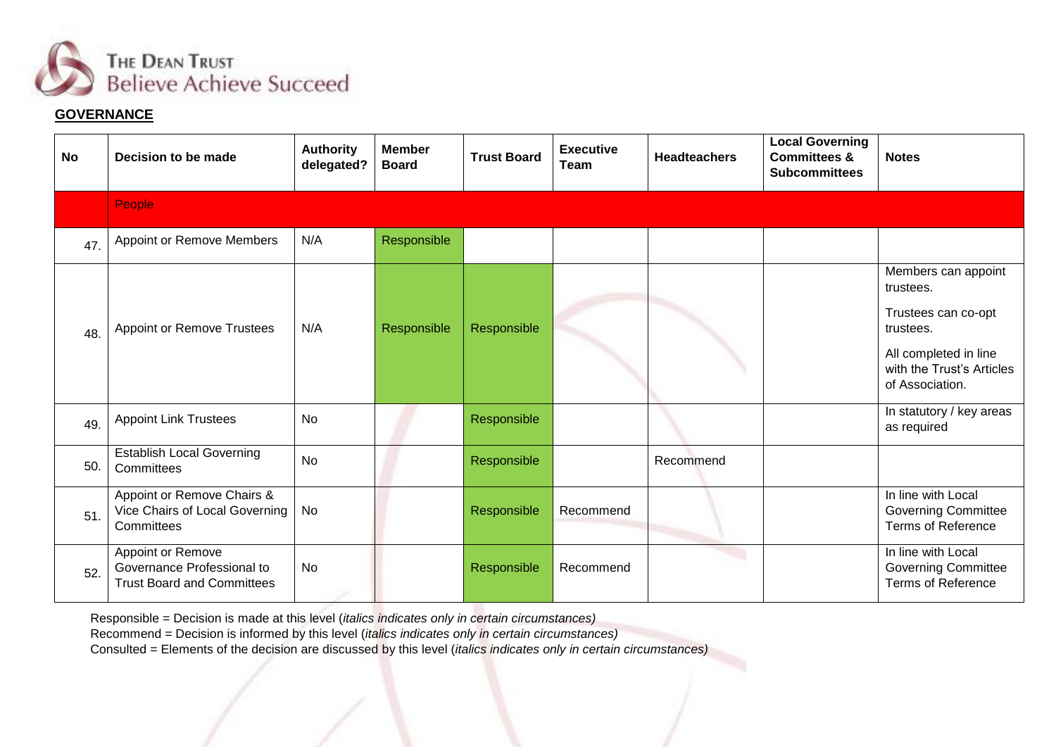

## **GOVERNANCE**

| <b>No</b> | Decision to be made                                                                  | <b>Authority</b><br>delegated? | <b>Member</b><br><b>Board</b> | <b>Trust Board</b> | <b>Executive</b><br>Team | <b>Headteachers</b> | <b>Local Governing</b><br><b>Committees &amp;</b><br><b>Subcommittees</b> | <b>Notes</b>                                                                                                                                  |
|-----------|--------------------------------------------------------------------------------------|--------------------------------|-------------------------------|--------------------|--------------------------|---------------------|---------------------------------------------------------------------------|-----------------------------------------------------------------------------------------------------------------------------------------------|
|           | People                                                                               |                                |                               |                    |                          |                     |                                                                           |                                                                                                                                               |
| 47.       | Appoint or Remove Members                                                            | N/A                            | Responsible                   |                    |                          |                     |                                                                           |                                                                                                                                               |
| 48.       | <b>Appoint or Remove Trustees</b>                                                    | N/A                            | Responsible                   | Responsible        |                          |                     |                                                                           | Members can appoint<br>trustees.<br>Trustees can co-opt<br>trustees.<br>All completed in line<br>with the Trust's Articles<br>of Association. |
| 49.       | <b>Appoint Link Trustees</b>                                                         | <b>No</b>                      |                               | Responsible        |                          |                     |                                                                           | In statutory / key areas<br>as required                                                                                                       |
| 50.       | <b>Establish Local Governing</b><br>Committees                                       | <b>No</b>                      |                               | Responsible        |                          | Recommend           |                                                                           |                                                                                                                                               |
| 51.       | Appoint or Remove Chairs &<br>Vice Chairs of Local Governing<br>Committees           | <b>No</b>                      |                               | Responsible        | Recommend                |                     |                                                                           | In line with Local<br><b>Governing Committee</b><br><b>Terms of Reference</b>                                                                 |
| 52.       | Appoint or Remove<br>Governance Professional to<br><b>Trust Board and Committees</b> | <b>No</b>                      |                               | Responsible        | Recommend                |                     |                                                                           | In line with Local<br>Governing Committee<br><b>Terms of Reference</b>                                                                        |

Responsible = Decision is made at this level (*italics indicates only in certain circumstances)*

Recommend = Decision is informed by this level (*italics indicates only in certain circumstances)*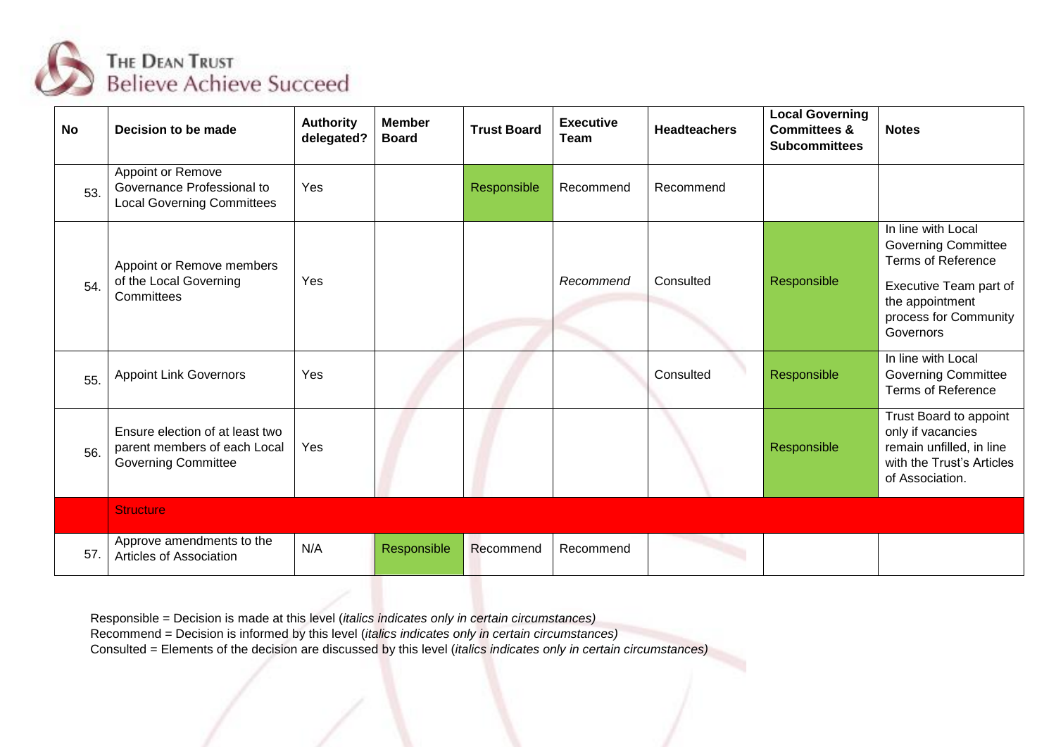

| <b>No</b> | Decision to be made                                                                           | <b>Authority</b><br>delegated? | <b>Member</b><br><b>Board</b> | <b>Trust Board</b> | <b>Executive</b><br>Team | <b>Headteachers</b> | <b>Local Governing</b><br><b>Committees &amp;</b><br><b>Subcommittees</b> | <b>Notes</b>                                                                                                                                                     |
|-----------|-----------------------------------------------------------------------------------------------|--------------------------------|-------------------------------|--------------------|--------------------------|---------------------|---------------------------------------------------------------------------|------------------------------------------------------------------------------------------------------------------------------------------------------------------|
| 53.       | Appoint or Remove<br>Governance Professional to<br><b>Local Governing Committees</b>          | Yes                            |                               | Responsible        | Recommend                | Recommend           |                                                                           |                                                                                                                                                                  |
| 54.       | Appoint or Remove members<br>of the Local Governing<br>Committees                             | Yes                            |                               |                    | Recommend                | Consulted           | Responsible                                                               | In line with Local<br><b>Governing Committee</b><br><b>Terms of Reference</b><br>Executive Team part of<br>the appointment<br>process for Community<br>Governors |
| 55.       | <b>Appoint Link Governors</b>                                                                 | Yes                            |                               |                    |                          | Consulted           | Responsible                                                               | In line with Local<br><b>Governing Committee</b><br><b>Terms of Reference</b>                                                                                    |
| 56.       | Ensure election of at least two<br>parent members of each Local<br><b>Governing Committee</b> | Yes                            |                               |                    |                          |                     | Responsible                                                               | Trust Board to appoint<br>only if vacancies<br>remain unfilled, in line<br>with the Trust's Articles<br>of Association.                                          |
|           | <b>Structure</b>                                                                              |                                |                               |                    |                          |                     |                                                                           |                                                                                                                                                                  |
| 57.       | Approve amendments to the<br>Articles of Association                                          | N/A                            | Responsible                   | Recommend          | Recommend                |                     |                                                                           |                                                                                                                                                                  |

Recommend = Decision is informed by this level (*italics indicates only in certain circumstances)*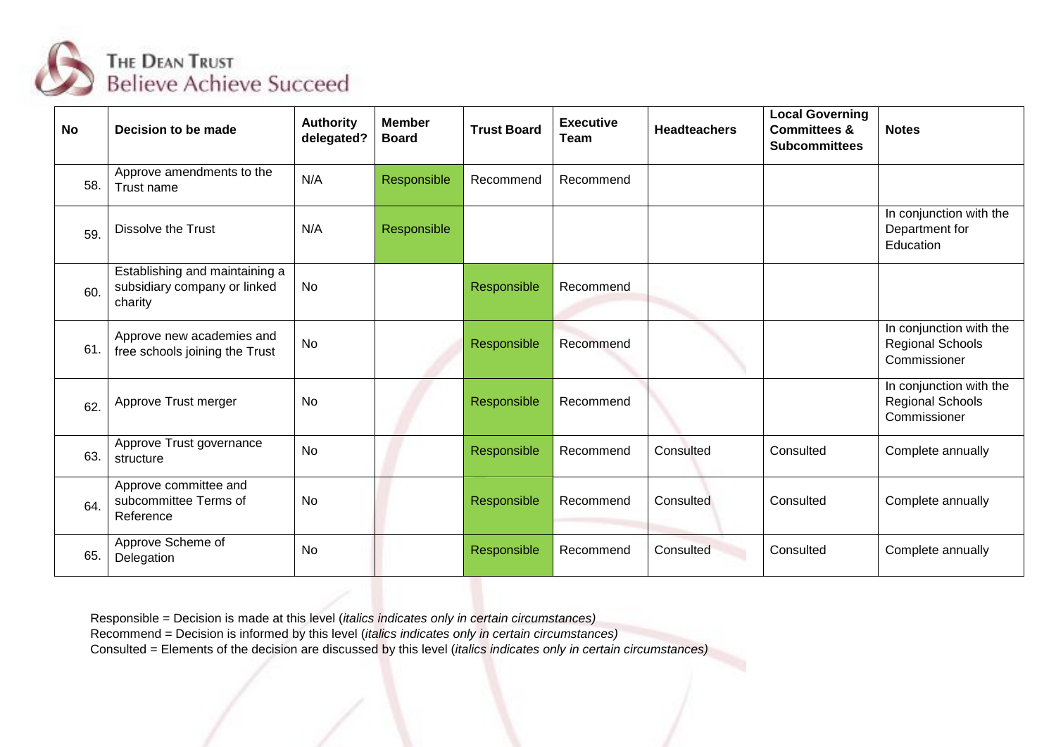

| <b>No</b> | Decision to be made                                                       | <b>Authority</b><br>delegated? | <b>Member</b><br><b>Board</b> | <b>Trust Board</b> | <b>Executive</b><br>Team | <b>Headteachers</b> | <b>Local Governing</b><br><b>Committees &amp;</b><br><b>Subcommittees</b> | <b>Notes</b>                                                       |
|-----------|---------------------------------------------------------------------------|--------------------------------|-------------------------------|--------------------|--------------------------|---------------------|---------------------------------------------------------------------------|--------------------------------------------------------------------|
| 58.       | Approve amendments to the<br>Trust name                                   | N/A                            | Responsible                   | Recommend          | Recommend                |                     |                                                                           |                                                                    |
| 59.       | <b>Dissolve the Trust</b>                                                 | N/A                            | Responsible                   |                    |                          |                     |                                                                           | In conjunction with the<br>Department for<br>Education             |
| 60.       | Establishing and maintaining a<br>subsidiary company or linked<br>charity | No                             |                               | Responsible        | Recommend                |                     |                                                                           |                                                                    |
| 61.       | Approve new academies and<br>free schools joining the Trust               | <b>No</b>                      |                               | Responsible        | Recommend                |                     |                                                                           | In conjunction with the<br><b>Regional Schools</b><br>Commissioner |
| 62.       | Approve Trust merger                                                      | No                             |                               | Responsible        | Recommend                |                     |                                                                           | In conjunction with the<br><b>Regional Schools</b><br>Commissioner |
| 63.       | Approve Trust governance<br>structure                                     | <b>No</b>                      |                               | Responsible        | Recommend                | Consulted           | Consulted                                                                 | Complete annually                                                  |
| 64.       | Approve committee and<br>subcommittee Terms of<br>Reference               | No                             |                               | Responsible        | Recommend                | Consulted           | Consulted                                                                 | Complete annually                                                  |
| 65.       | Approve Scheme of<br>Delegation                                           | No                             |                               | Responsible        | Recommend                | Consulted           | Consulted                                                                 | Complete annually                                                  |

Recommend = Decision is informed by this level (*italics indicates only in certain circumstances)*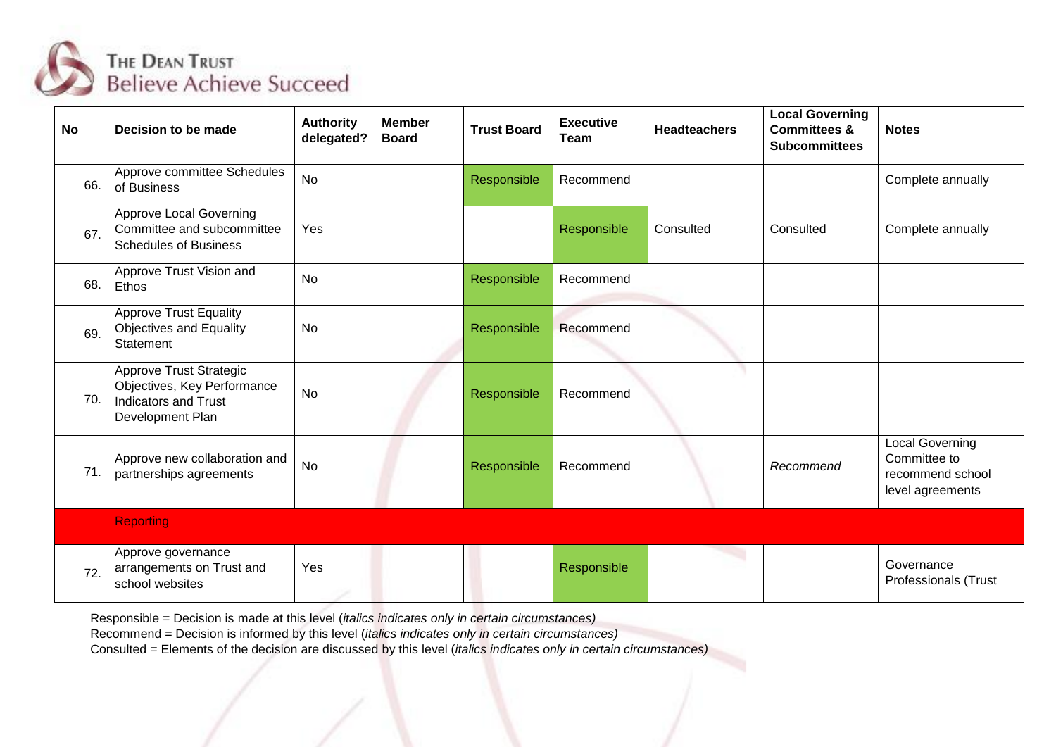

| <b>No</b> | Decision to be made                                                                                       | <b>Authority</b><br>delegated? | <b>Member</b><br><b>Board</b> | <b>Trust Board</b> | <b>Executive</b><br>Team | <b>Headteachers</b> | <b>Local Governing</b><br><b>Committees &amp;</b><br><b>Subcommittees</b> | <b>Notes</b>                                                                   |
|-----------|-----------------------------------------------------------------------------------------------------------|--------------------------------|-------------------------------|--------------------|--------------------------|---------------------|---------------------------------------------------------------------------|--------------------------------------------------------------------------------|
| 66.       | Approve committee Schedules<br>of Business                                                                | <b>No</b>                      |                               | Responsible        | Recommend                |                     |                                                                           | Complete annually                                                              |
| 67.       | <b>Approve Local Governing</b><br>Committee and subcommittee<br><b>Schedules of Business</b>              | Yes                            |                               |                    | Responsible              | Consulted           | Consulted                                                                 | Complete annually                                                              |
| 68.       | Approve Trust Vision and<br>Ethos                                                                         | <b>No</b>                      |                               | Responsible        | Recommend                |                     |                                                                           |                                                                                |
| 69.       | <b>Approve Trust Equality</b><br>Objectives and Equality<br>Statement                                     | <b>No</b>                      |                               | Responsible        | Recommend                |                     |                                                                           |                                                                                |
| 70.       | Approve Trust Strategic<br>Objectives, Key Performance<br><b>Indicators and Trust</b><br>Development Plan | <b>No</b>                      |                               | Responsible        | Recommend                |                     |                                                                           |                                                                                |
| 71.       | Approve new collaboration and<br>partnerships agreements                                                  | <b>No</b>                      |                               | Responsible        | Recommend                |                     | Recommend                                                                 | <b>Local Governing</b><br>Committee to<br>recommend school<br>level agreements |
|           | <b>Reporting</b>                                                                                          |                                |                               |                    |                          |                     |                                                                           |                                                                                |
| 72.       | Approve governance<br>arrangements on Trust and<br>school websites                                        | Yes                            |                               |                    | Responsible              |                     |                                                                           | Governance<br><b>Professionals (Trust</b>                                      |

Recommend = Decision is informed by this level (*italics indicates only in certain circumstances)*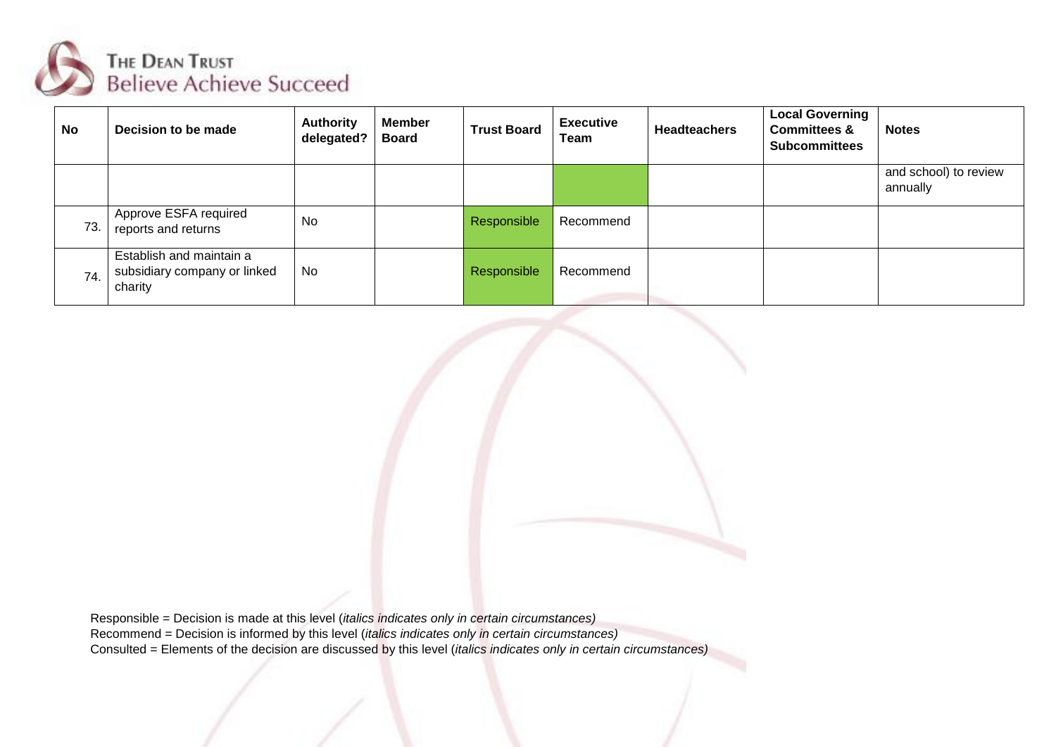

| <b>No</b> | Decision to be made                                                 | <b>Authority</b><br>delegated? | <b>Member</b><br><b>Board</b> | <b>Trust Board</b> | <b>Executive</b><br>Team | <b>Headteachers</b> | <b>Local Governing</b><br><b>Committees &amp;</b><br><b>Subcommittees</b> | <b>Notes</b>                      |
|-----------|---------------------------------------------------------------------|--------------------------------|-------------------------------|--------------------|--------------------------|---------------------|---------------------------------------------------------------------------|-----------------------------------|
|           |                                                                     |                                |                               |                    |                          |                     |                                                                           | and school) to review<br>annually |
| 73.       | Approve ESFA required<br>reports and returns                        | No                             |                               | Responsible        | Recommend                |                     |                                                                           |                                   |
| 74.       | Establish and maintain a<br>subsidiary company or linked<br>charity | No                             |                               | Responsible        | Recommend                |                     |                                                                           |                                   |

Responsible = Decision is made at this level (*italics indicates only in certain circumstances)* Recommend = Decision is informed by this level (*italics indicates only in certain circumstances)* Consulted = Elements of the decision are discussed by this level (*italics indicates only in certain circumstances)*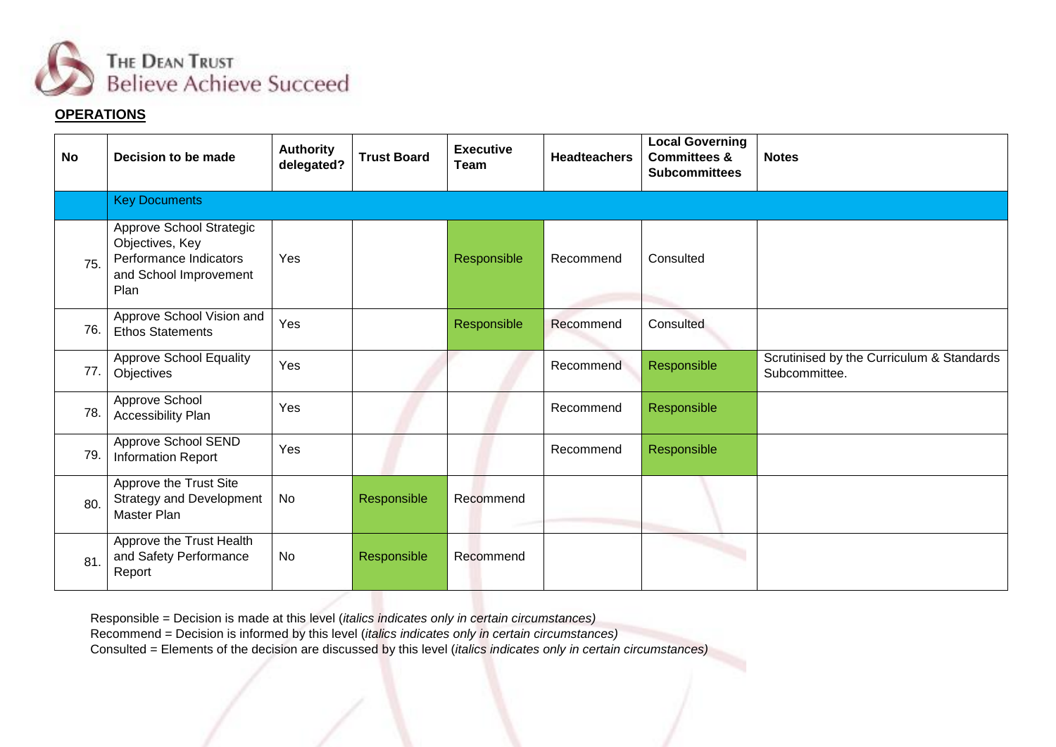

## **OPERATIONS**

| <b>No</b> | Decision to be made                                                                                     | <b>Authority</b><br>delegated? | <b>Trust Board</b> | <b>Executive</b><br>Team | <b>Headteachers</b> | <b>Local Governing</b><br><b>Committees &amp;</b><br><b>Subcommittees</b> | <b>Notes</b>                                               |
|-----------|---------------------------------------------------------------------------------------------------------|--------------------------------|--------------------|--------------------------|---------------------|---------------------------------------------------------------------------|------------------------------------------------------------|
|           | <b>Key Documents</b>                                                                                    |                                |                    |                          |                     |                                                                           |                                                            |
| 75.       | Approve School Strategic<br>Objectives, Key<br>Performance Indicators<br>and School Improvement<br>Plan | Yes                            |                    | Responsible              | Recommend           | Consulted                                                                 |                                                            |
| 76.       | Approve School Vision and<br><b>Ethos Statements</b>                                                    | Yes                            |                    | Responsible              | Recommend           | Consulted                                                                 |                                                            |
| 77.       | <b>Approve School Equality</b><br>Objectives                                                            | Yes                            |                    |                          | Recommend           | Responsible                                                               | Scrutinised by the Curriculum & Standards<br>Subcommittee. |
| 78.       | Approve School<br>Accessibility Plan                                                                    | Yes                            |                    |                          | Recommend           | Responsible                                                               |                                                            |
| 79.       | Approve School SEND<br><b>Information Report</b>                                                        | Yes                            |                    |                          | Recommend           | Responsible                                                               |                                                            |
| 80.       | Approve the Trust Site<br><b>Strategy and Development</b><br>Master Plan                                | No                             | Responsible        | Recommend                |                     |                                                                           |                                                            |
| 81.       | Approve the Trust Health<br>and Safety Performance<br>Report                                            | No                             | Responsible        | Recommend                |                     |                                                                           |                                                            |

Responsible = Decision is made at this level (*italics indicates only in certain circumstances)*

Recommend = Decision is informed by this level (*italics indicates only in certain circumstances)*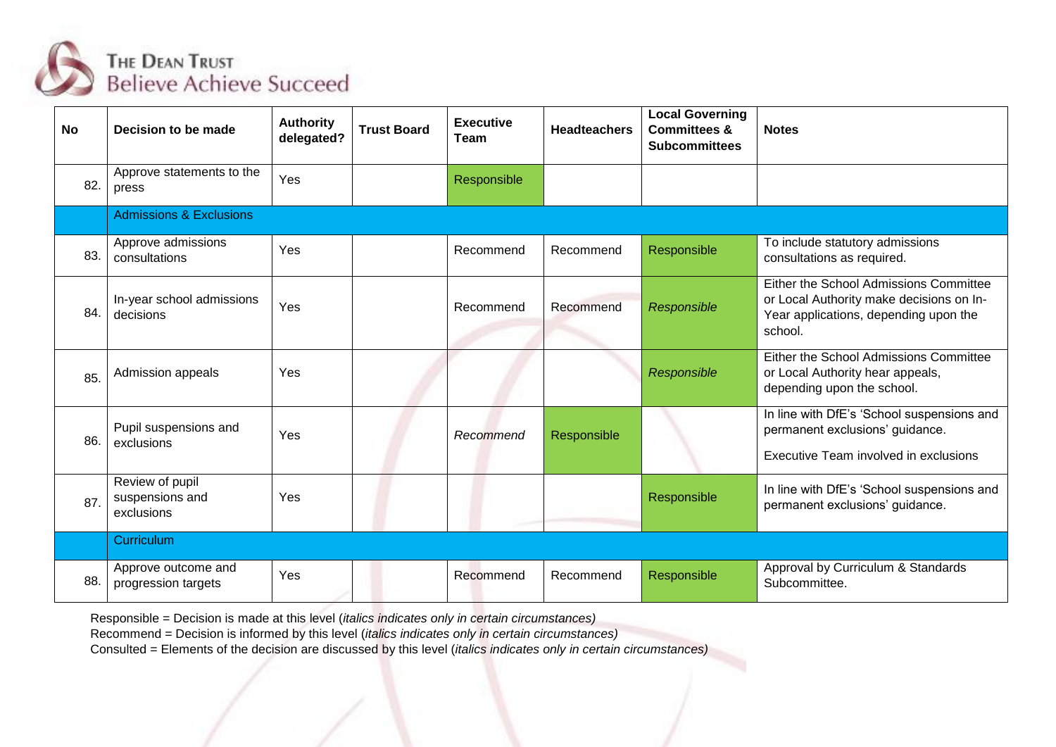

| <b>No</b> | Decision to be made                              | <b>Authority</b><br>delegated? | <b>Trust Board</b> | <b>Executive</b><br>Team | <b>Headteachers</b> | <b>Local Governing</b><br><b>Committees &amp;</b><br><b>Subcommittees</b> | <b>Notes</b>                                                                                                                           |
|-----------|--------------------------------------------------|--------------------------------|--------------------|--------------------------|---------------------|---------------------------------------------------------------------------|----------------------------------------------------------------------------------------------------------------------------------------|
| 82.       | Approve statements to the<br>press               | Yes                            |                    | Responsible              |                     |                                                                           |                                                                                                                                        |
|           | <b>Admissions &amp; Exclusions</b>               |                                |                    |                          |                     |                                                                           |                                                                                                                                        |
| 83.       | Approve admissions<br>consultations              | Yes                            |                    | Recommend                | Recommend           | Responsible                                                               | To include statutory admissions<br>consultations as required.                                                                          |
| 84.       | In-year school admissions<br>decisions           | Yes                            |                    | Recommend                | Recommend           | Responsible                                                               | Either the School Admissions Committee<br>or Local Authority make decisions on In-<br>Year applications, depending upon the<br>school. |
| 85.       | Admission appeals                                | Yes                            |                    |                          |                     | Responsible                                                               | Either the School Admissions Committee<br>or Local Authority hear appeals,<br>depending upon the school.                               |
| 86.       | Pupil suspensions and<br>exclusions              | Yes                            |                    | Recommend                | Responsible         |                                                                           | In line with DfE's 'School suspensions and<br>permanent exclusions' guidance.<br>Executive Team involved in exclusions                 |
| 87.       | Review of pupil<br>suspensions and<br>exclusions | Yes                            |                    |                          |                     | Responsible                                                               | In line with DfE's 'School suspensions and<br>permanent exclusions' guidance.                                                          |
|           | Curriculum                                       |                                |                    |                          |                     |                                                                           |                                                                                                                                        |
| 88.       | Approve outcome and<br>progression targets       | Yes                            |                    | Recommend                | Recommend           | Responsible                                                               | Approval by Curriculum & Standards<br>Subcommittee.                                                                                    |

Recommend = Decision is informed by this level (*italics indicates only in certain circumstances)*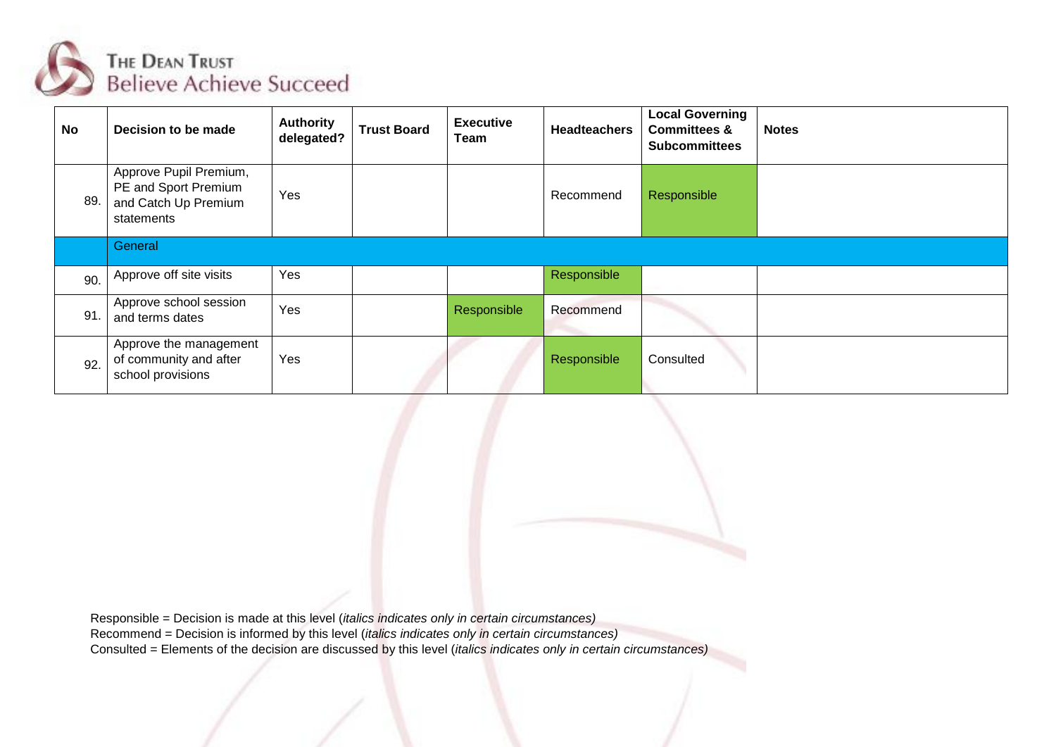

| <b>No</b> | Decision to be made                                                                  | <b>Authority</b><br>delegated? | <b>Trust Board</b> | <b>Executive</b><br>Team | <b>Headteachers</b> | <b>Local Governing</b><br><b>Committees &amp;</b><br><b>Subcommittees</b> | <b>Notes</b> |
|-----------|--------------------------------------------------------------------------------------|--------------------------------|--------------------|--------------------------|---------------------|---------------------------------------------------------------------------|--------------|
| 89.       | Approve Pupil Premium,<br>PE and Sport Premium<br>and Catch Up Premium<br>statements | Yes                            |                    |                          | Recommend           | Responsible                                                               |              |
|           | General                                                                              |                                |                    |                          |                     |                                                                           |              |
| 90.       | Approve off site visits                                                              | Yes                            |                    |                          | Responsible         |                                                                           |              |
| 91        | Approve school session<br>and terms dates                                            | Yes                            |                    | Responsible              | Recommend           |                                                                           |              |
| 92.       | Approve the management<br>of community and after<br>school provisions                | Yes                            |                    |                          | Responsible         | Consulted                                                                 |              |

Recommend = Decision is informed by this level (*italics indicates only in certain circumstances)*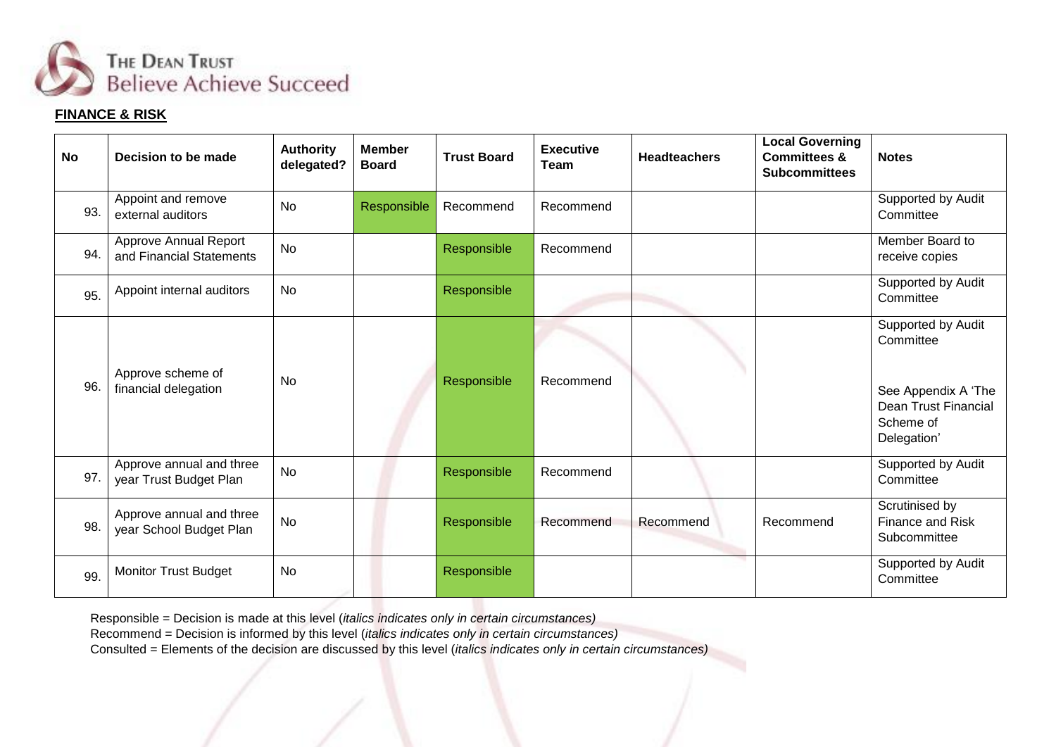

## **FINANCE & RISK**

| <b>No</b> | Decision to be made                                 | <b>Authority</b><br>delegated? | <b>Member</b><br><b>Board</b> | <b>Trust Board</b> | <b>Executive</b><br><b>Team</b> | <b>Headteachers</b> | <b>Local Governing</b><br><b>Committees &amp;</b><br><b>Subcommittees</b> | <b>Notes</b>                                                                                               |
|-----------|-----------------------------------------------------|--------------------------------|-------------------------------|--------------------|---------------------------------|---------------------|---------------------------------------------------------------------------|------------------------------------------------------------------------------------------------------------|
| 93.       | Appoint and remove<br>external auditors             | <b>No</b>                      | Responsible                   | Recommend          | Recommend                       |                     |                                                                           | Supported by Audit<br>Committee                                                                            |
| 94.       | Approve Annual Report<br>and Financial Statements   | <b>No</b>                      |                               | Responsible        | Recommend                       |                     |                                                                           | Member Board to<br>receive copies                                                                          |
| 95.       | Appoint internal auditors                           | <b>No</b>                      |                               | Responsible        |                                 |                     |                                                                           | Supported by Audit<br>Committee                                                                            |
| 96.       | Approve scheme of<br>financial delegation           | <b>No</b>                      |                               | Responsible        | Recommend                       |                     |                                                                           | Supported by Audit<br>Committee<br>See Appendix A 'The<br>Dean Trust Financial<br>Scheme of<br>Delegation' |
| 97.       | Approve annual and three<br>year Trust Budget Plan  | <b>No</b>                      |                               | Responsible        | Recommend                       |                     |                                                                           | Supported by Audit<br>Committee                                                                            |
| 98.       | Approve annual and three<br>year School Budget Plan | <b>No</b>                      |                               | Responsible        | Recommend                       | Recommend           | Recommend                                                                 | Scrutinised by<br>Finance and Risk<br>Subcommittee                                                         |
| 99.       | <b>Monitor Trust Budget</b>                         | <b>No</b>                      |                               | Responsible        |                                 |                     |                                                                           | Supported by Audit<br>Committee                                                                            |

Responsible = Decision is made at this level (*italics indicates only in certain circumstances)*

Recommend = Decision is informed by this level (*italics indicates only in certain circumstances)*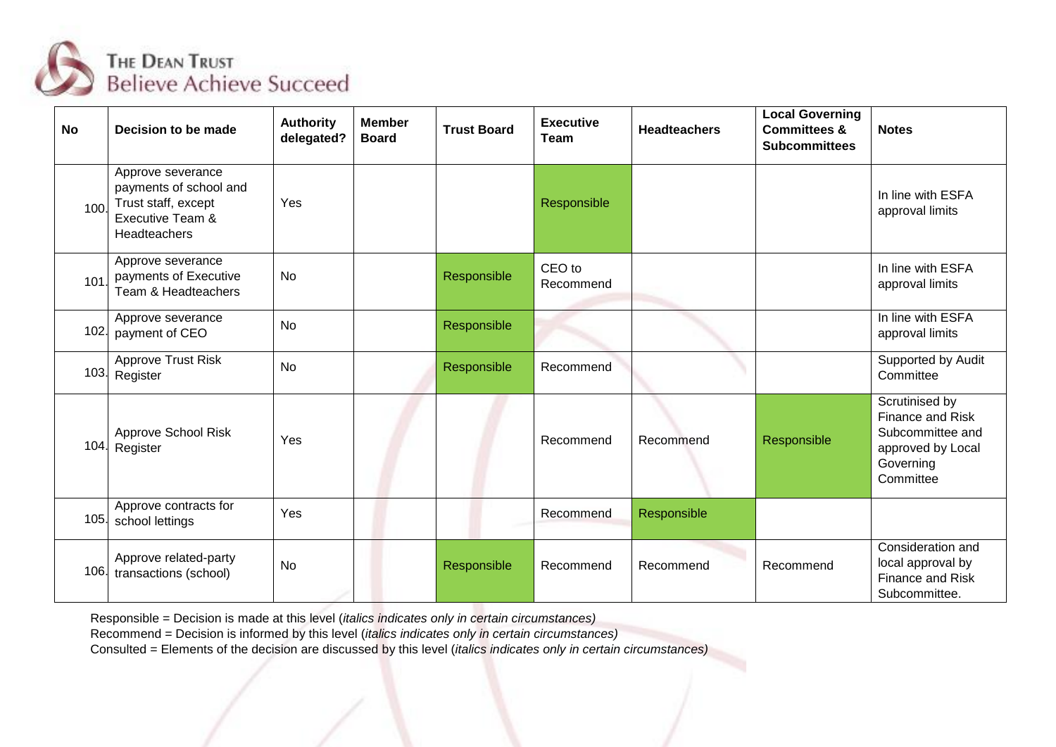

| <b>No</b> | Decision to be made                                                                                    | <b>Authority</b><br>delegated? | <b>Member</b><br><b>Board</b> | <b>Trust Board</b> | <b>Executive</b><br><b>Team</b> | <b>Headteachers</b> | <b>Local Governing</b><br><b>Committees &amp;</b><br><b>Subcommittees</b> | <b>Notes</b>                                                                                          |
|-----------|--------------------------------------------------------------------------------------------------------|--------------------------------|-------------------------------|--------------------|---------------------------------|---------------------|---------------------------------------------------------------------------|-------------------------------------------------------------------------------------------------------|
| 100       | Approve severance<br>payments of school and<br>Trust staff, except<br>Executive Team &<br>Headteachers | Yes                            |                               |                    | Responsible                     |                     |                                                                           | In line with ESFA<br>approval limits                                                                  |
| 101       | Approve severance<br>payments of Executive<br>Team & Headteachers                                      | <b>No</b>                      |                               | Responsible        | CEO to<br>Recommend             |                     |                                                                           | In line with ESFA<br>approval limits                                                                  |
| 102.      | Approve severance<br>payment of CEO                                                                    | <b>No</b>                      |                               | Responsible        |                                 |                     |                                                                           | In line with ESFA<br>approval limits                                                                  |
|           | Approve Trust Risk<br>103. Register                                                                    | <b>No</b>                      |                               | Responsible        | Recommend                       |                     |                                                                           | Supported by Audit<br>Committee                                                                       |
| 104.      | Approve School Risk<br>Register                                                                        | Yes                            |                               |                    | Recommend                       | Recommend           | Responsible                                                               | Scrutinised by<br>Finance and Risk<br>Subcommittee and<br>approved by Local<br>Governing<br>Committee |
| 105.      | Approve contracts for<br>school lettings                                                               | Yes                            |                               |                    | Recommend                       | Responsible         |                                                                           |                                                                                                       |
| 106.      | Approve related-party<br>transactions (school)                                                         | <b>No</b>                      |                               | Responsible        | Recommend                       | Recommend           | Recommend                                                                 | Consideration and<br>local approval by<br>Finance and Risk<br>Subcommittee.                           |

Recommend = Decision is informed by this level (*italics indicates only in certain circumstances)*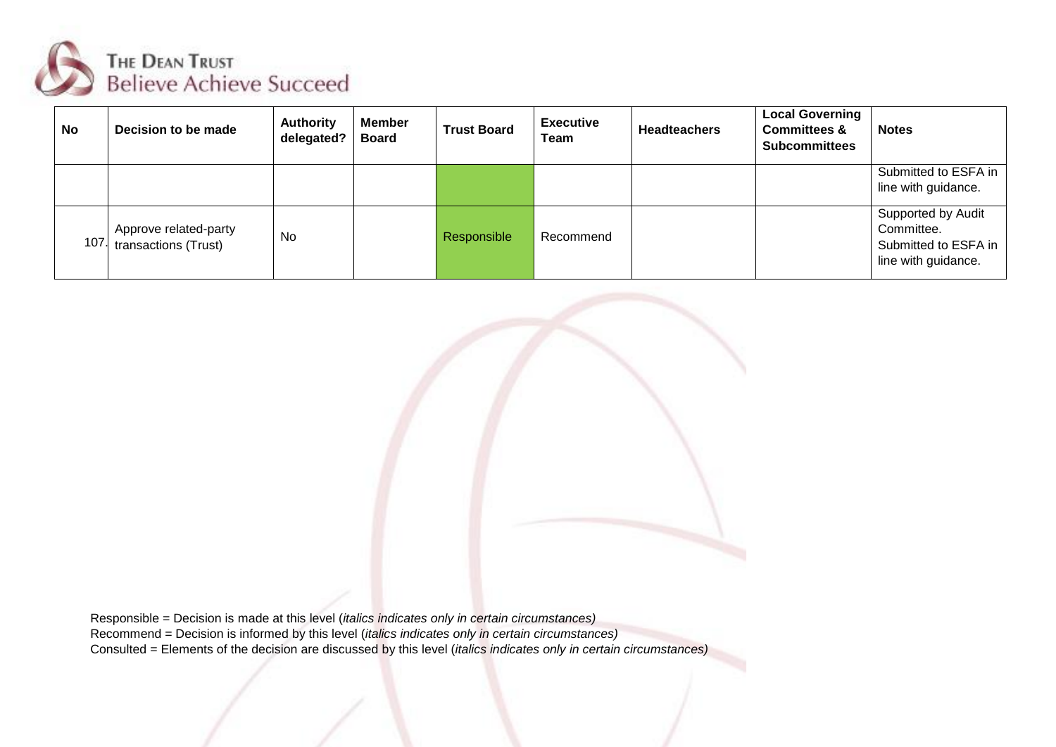

| <b>No</b> | Decision to be made                           | <b>Authority</b><br>delegated? | <b>Member</b><br><b>Board</b> | <b>Trust Board</b> | <b>Executive</b><br>Team | <b>Headteachers</b> | <b>Local Governing</b><br><b>Committees &amp;</b><br><b>Subcommittees</b> | <b>Notes</b>                                                                    |
|-----------|-----------------------------------------------|--------------------------------|-------------------------------|--------------------|--------------------------|---------------------|---------------------------------------------------------------------------|---------------------------------------------------------------------------------|
|           |                                               |                                |                               |                    |                          |                     |                                                                           | Submitted to ESFA in<br>line with guidance.                                     |
| 107.      | Approve related-party<br>transactions (Trust) | No                             |                               | Responsible        | Recommend                |                     |                                                                           | Supported by Audit<br>Committee.<br>Submitted to ESFA in<br>line with guidance. |



Responsible = Decision is made at this level (*italics indicates only in certain circumstances)* Recommend = Decision is informed by this level (*italics indicates only in certain circumstances)* Consulted = Elements of the decision are discussed by this level (*italics indicates only in certain circumstances)*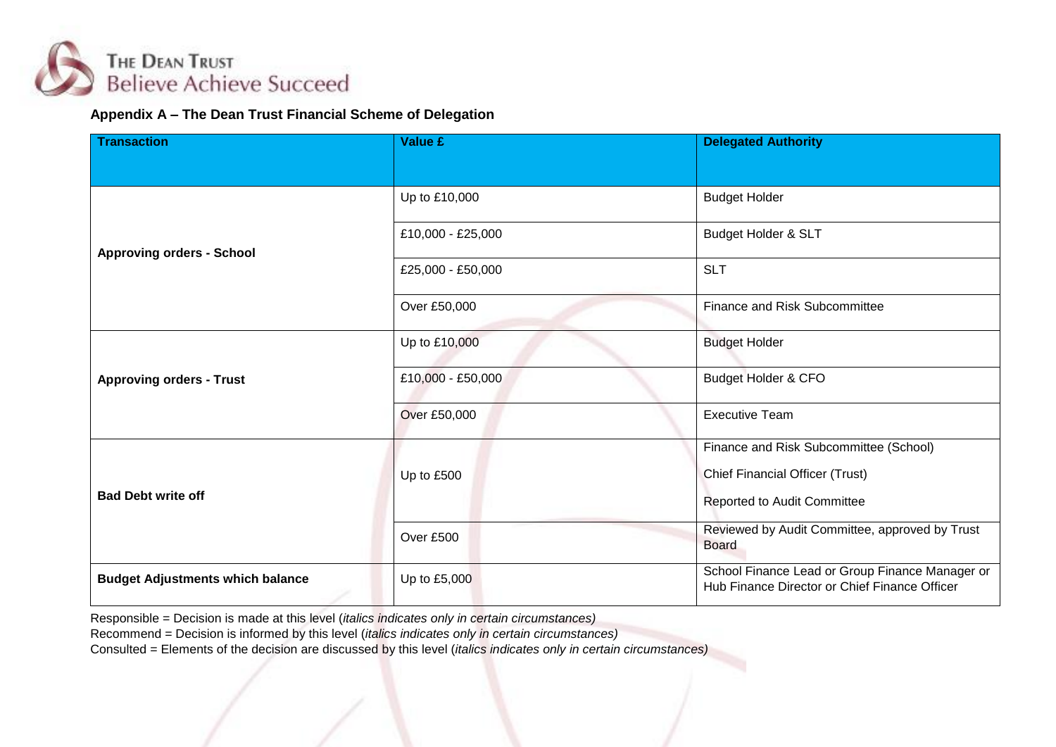

## **Appendix A – The Dean Trust Financial Scheme of Delegation**

| <b>Transaction</b>                      | <b>Value £</b>    | <b>Delegated Authority</b>                                                                       |  |  |
|-----------------------------------------|-------------------|--------------------------------------------------------------------------------------------------|--|--|
|                                         |                   |                                                                                                  |  |  |
|                                         | Up to £10,000     | <b>Budget Holder</b>                                                                             |  |  |
| <b>Approving orders - School</b>        | £10,000 - £25,000 | Budget Holder & SLT                                                                              |  |  |
|                                         | £25,000 - £50,000 | <b>SLT</b>                                                                                       |  |  |
|                                         | Over £50,000      | Finance and Risk Subcommittee                                                                    |  |  |
|                                         | Up to £10,000     | <b>Budget Holder</b>                                                                             |  |  |
| <b>Approving orders - Trust</b>         | £10,000 - £50,000 | Budget Holder & CFO                                                                              |  |  |
|                                         | Over £50,000      | <b>Executive Team</b>                                                                            |  |  |
|                                         |                   | Finance and Risk Subcommittee (School)                                                           |  |  |
|                                         | Up to £500        | <b>Chief Financial Officer (Trust)</b>                                                           |  |  |
| <b>Bad Debt write off</b>               |                   | Reported to Audit Committee                                                                      |  |  |
|                                         | Over £500         | Reviewed by Audit Committee, approved by Trust<br><b>Board</b>                                   |  |  |
| <b>Budget Adjustments which balance</b> | Up to £5,000      | School Finance Lead or Group Finance Manager or<br>Hub Finance Director or Chief Finance Officer |  |  |

Responsible = Decision is made at this level (*italics indicates only in certain circumstances)*

Recommend = Decision is informed by this level (*italics indicates only in certain circumstances)*